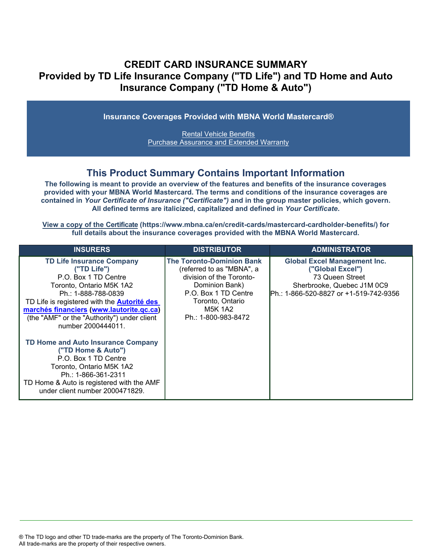## **CREDIT CARD INSURANCE SUMMARY Provided by TD Life Insurance Company ("TD Life") and TD Home and Auto Insurance Company ("TD Home & Auto")**

**Insurance Coverages Provided with MBNA World Mastercard®**

[Rental Vehicle Benefits](#page-3-0) [Purchase Assurance and Extended Warranty](#page-5-0)

## **This Product Summary Contains Important Information**

**The following is meant to provide an overview of the features and benefits of the insurance coverages provided with your MBNA World Mastercard. The terms and conditions of the insurance coverages are contained in** *Your Certificate of Insurance ("Certificate")* **and in the group master policies, which govern. All defined terms are italicized, capitalized and defined in** *Your Certificate***.**

**[View a copy of the Certificate](https://www.mbna.ca/en/credit-cards/mastercard-cardholder-benefits/) (https://www.mbna.ca/en/credit-cards/mastercard-cardholder-benefits/) for full details about the insurance coverages provided with the MBNA World Mastercard.** 

| <b>INSURERS</b>                                                                                                                                                                                                                                                                                   | <b>DISTRIBUTOR</b>                                                                                                                                                                        | <b>ADMINISTRATOR</b>                                                                                                                                |
|---------------------------------------------------------------------------------------------------------------------------------------------------------------------------------------------------------------------------------------------------------------------------------------------------|-------------------------------------------------------------------------------------------------------------------------------------------------------------------------------------------|-----------------------------------------------------------------------------------------------------------------------------------------------------|
| <b>TD Life Insurance Company</b><br>("TD Life")<br>P.O. Box 1 TD Centre<br>Toronto, Ontario M5K 1A2<br>Ph.: 1-888-788-0839<br>TD Life is registered with the <b>Autorité des</b><br>marchés financiers (www.lautorite.qc.ca)<br>(the "AMF" or the "Authority") under client<br>number 2000444011. | <b>The Toronto-Dominion Bank</b><br>(referred to as "MBNA", a<br>division of the Toronto-<br>Dominion Bank)<br>P.O. Box 1 TD Centre<br>Toronto, Ontario<br>M5K 1A2<br>Ph.: 1-800-983-8472 | <b>Global Excel Management Inc.</b><br>("Global Excel")<br>73 Queen Street<br>Sherbrooke, Quebec J1M 0C9<br>IPh.: 1-866-520-8827 or +1-519-742-9356 |
| TD Home and Auto Insurance Company<br>("TD Home & Auto")<br>P.O. Box 1 TD Centre<br>Toronto, Ontario M5K 1A2<br>Ph.: 1-866-361-2311<br>TD Home & Auto is registered with the AMF<br>under client number 2000471829.                                                                               |                                                                                                                                                                                           |                                                                                                                                                     |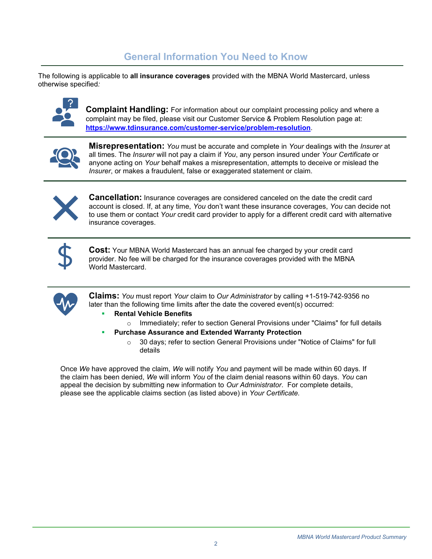## **General Information You Need to Know**

The following is applicable to **all insurance coverages** provided with the MBNA World Mastercard, unless otherwise specified*:*



**Complaint Handling:** For information about our complaint processing policy and where a complaint may be filed, please visit our Customer Service & Problem Resolution page at: **<https://www.tdinsurance.com/customer-service/problem-resolution>**.



**Misrepresentation:** *You* must be accurate and complete in *Your* dealings with the *Insurer* at all times. The *Insurer* will not pay a claim if *You*, any person insured under *Your Certificate* or anyone acting on *Your* behalf makes a misrepresentation, attempts to deceive or mislead the *Insurer*, or makes a fraudulent, false or exaggerated statement or claim.



**Cancellation:** Insurance coverages are considered canceled on the date the credit card account is closed. If, at any time, *You* don't want these insurance coverages, *You* can decide not to use them or contact *Your* credit card provider to apply for a different credit card with alternative insurance coverages.



**Cost:** Your MBNA World Mastercard has an annual fee charged by your credit card provider. No fee will be charged for the insurance coverages provided with the MBNA World Mastercard.



**Claims:** *You* must report *Your* claim to *Our Administrator* by calling +1-519-742-9356 no later than the following time limits after the date the covered event(s) occurred:

- **Rental Vehicle Benefits**
- o Immediately; refer to section General Provisions under "Claims" for full details
- **Purchase Assurance and Extended Warranty Protection** 
	- o 30 days; refer to section General Provisions under "Notice of Claims" for full details

Once *We* have approved the claim, *We* will notify *You* and payment will be made within 60 days. If the claim has been denied, *We* will inform *You* of the claim denial reasons within 60 days. *You* can appeal the decision by submitting new information to *Our Administrator*. For complete details, please see the applicable claims section (as listed above) in *Your Certificate.*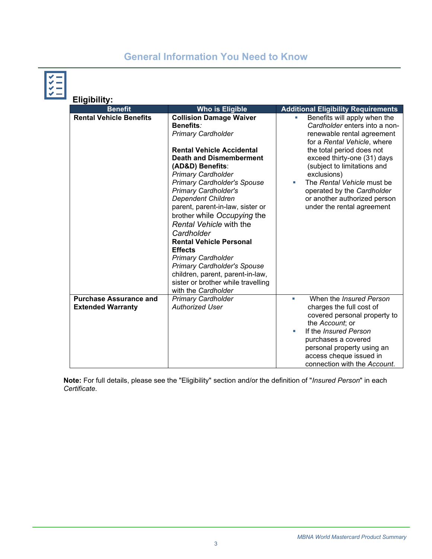# **General Information You Need to Know**

| ۳. | <b>Eligibility:</b>                                       |                                                                                                                                                                                                                                                                                                                                                                                                                                                                                                |                                                                                                                                                                                                                                                             |  |  |
|----|-----------------------------------------------------------|------------------------------------------------------------------------------------------------------------------------------------------------------------------------------------------------------------------------------------------------------------------------------------------------------------------------------------------------------------------------------------------------------------------------------------------------------------------------------------------------|-------------------------------------------------------------------------------------------------------------------------------------------------------------------------------------------------------------------------------------------------------------|--|--|
|    | <b>Benefit</b>                                            | <b>Who is Eligible</b>                                                                                                                                                                                                                                                                                                                                                                                                                                                                         | <b>Additional Eligibility Requirements</b>                                                                                                                                                                                                                  |  |  |
|    | <b>Rental Vehicle Benefits</b>                            | <b>Collision Damage Waiver</b><br><b>Benefits:</b><br><b>Primary Cardholder</b><br><b>Rental Vehicle Accidental</b>                                                                                                                                                                                                                                                                                                                                                                            | Benefits will apply when the<br>u.<br>Cardholder enters into a non-<br>renewable rental agreement<br>for a Rental Vehicle, where                                                                                                                            |  |  |
|    |                                                           | <b>Death and Dismemberment</b><br>(AD&D) Benefits:<br><b>Primary Cardholder</b><br><b>Primary Cardholder's Spouse</b><br><b>Primary Cardholder's</b><br><b>Dependent Children</b><br>parent, parent-in-law, sister or<br>brother while Occupying the<br>Rental Vehicle with the<br>Cardholder<br><b>Rental Vehicle Personal</b><br><b>Effects</b><br><b>Primary Cardholder</b><br><b>Primary Cardholder's Spouse</b><br>children, parent, parent-in-law,<br>sister or brother while travelling | the total period does not<br>exceed thirty-one (31) days<br>(subject to limitations and<br>exclusions)<br>The Rental Vehicle must be<br>ш<br>operated by the Cardholder<br>or another authorized person<br>under the rental agreement                       |  |  |
|    |                                                           | with the Cardholder                                                                                                                                                                                                                                                                                                                                                                                                                                                                            |                                                                                                                                                                                                                                                             |  |  |
|    | <b>Purchase Assurance and</b><br><b>Extended Warranty</b> | <b>Primary Cardholder</b><br><b>Authorized User</b>                                                                                                                                                                                                                                                                                                                                                                                                                                            | When the <i>Insured Person</i><br>٠<br>charges the full cost of<br>covered personal property to<br>the Account; or<br>If the Insured Person<br>purchases a covered<br>personal property using an<br>access cheque issued in<br>connection with the Account. |  |  |

**Note:** For full details, please see the "Eligibility" section and/or the definition of "*Insured Person*" in each *Certificate*.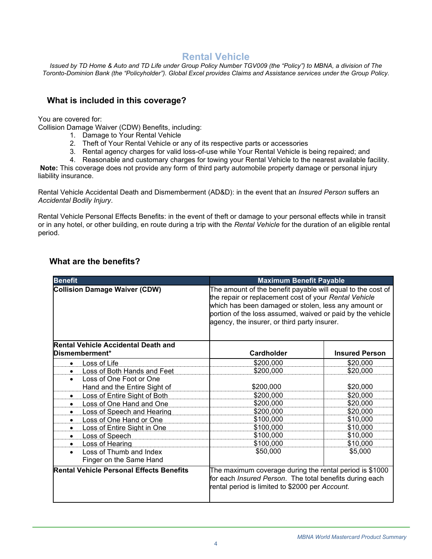## **Rental Vehicle**

<span id="page-3-0"></span>*Issued by TD Home & Auto and TD Life under Group Policy Number TGV009 (the "Policy") to MBNA, a division of The Toronto-Dominion Bank (the "Policyholder"). Global Excel provides Claims and Assistance services under the Group Policy.*

### **What is included in this coverage?**

You are covered for:

Collision Damage Waiver (CDW) Benefits, including:

- 1. Damage to Your Rental Vehicle
- 2. Theft of Your Rental Vehicle or any of its respective parts or accessories
- 3. Rental agency charges for valid loss-of-use while Your Rental Vehicle is being repaired; and
- 4. Reasonable and customary charges for towing your Rental Vehicle to the nearest available facility.

**Note:** This coverage does not provide any form of third party automobile property damage or personal injury liability insurance.

Rental Vehicle Accidental Death and Dismemberment (AD&D): in the event that an *Insured Person* suffers an *Accidental Bodily Injury*.

Rental Vehicle Personal Effects Benefits: in the event of theft or damage to your personal effects while in transit or in any hotel, or other building, en route during a trip with the *Rental Vehicle* for the duration of an eligible rental period.

| <b>Benefit</b>                                                  | <b>Maximum Benefit Payable</b>                                                                                                                                                                                                                                                             |                       |
|-----------------------------------------------------------------|--------------------------------------------------------------------------------------------------------------------------------------------------------------------------------------------------------------------------------------------------------------------------------------------|-----------------------|
| <b>Collision Damage Waiver (CDW)</b>                            | The amount of the benefit payable will equal to the cost of<br>the repair or replacement cost of your Rental Vehicle<br>which has been damaged or stolen, less any amount or<br>portion of the loss assumed, waived or paid by the vehicle<br>agency, the insurer, or third party insurer. |                       |
| <b>Rental Vehicle Accidental Death and</b><br>Dismemberment*    | Cardholder                                                                                                                                                                                                                                                                                 | <b>Insured Person</b> |
| <b>Loss of Life</b><br>$\bullet$                                | \$200,000                                                                                                                                                                                                                                                                                  | \$20,000              |
| <b>Loss of Both Hands and Feet</b><br>$\bullet$                 | \$200,000                                                                                                                                                                                                                                                                                  | \$20,000              |
| Loss of One Foot or One<br>$\bullet$                            |                                                                                                                                                                                                                                                                                            |                       |
| Hand and the Entire Sight of                                    | \$200,000                                                                                                                                                                                                                                                                                  | \$20,000              |
| Loss of Entire Sight of Both<br>$\bullet$                       | \$200,000                                                                                                                                                                                                                                                                                  | \$20,000              |
| Loss of One Hand and One<br>٠                                   | \$200,000                                                                                                                                                                                                                                                                                  | \$20,000              |
| <b>Loss of Speech and Hearing</b><br>$\bullet$                  | \$200,000                                                                                                                                                                                                                                                                                  | \$20,000              |
| Loss of One Hand or One<br>$\bullet$                            | \$100,000                                                                                                                                                                                                                                                                                  | \$10,000              |
| Loss of Entire Sight in One<br>٠                                | \$100,000                                                                                                                                                                                                                                                                                  | \$10,000              |
| Loss of Speech<br>$\bullet$                                     | \$100,000                                                                                                                                                                                                                                                                                  | \$10,000              |
| Loss of Hearing<br>$\bullet$                                    | \$100,000                                                                                                                                                                                                                                                                                  | \$10,000              |
| Loss of Thumb and Index<br>$\bullet$<br>Finger on the Same Hand | \$50,000                                                                                                                                                                                                                                                                                   | \$5,000               |
| <b>Rental Vehicle Personal Effects Benefits</b>                 | The maximum coverage during the rental period is \$1000<br>for each Insured Person. The total benefits during each<br>rental period is limited to \$2000 per Account.                                                                                                                      |                       |

### **What are the benefits?**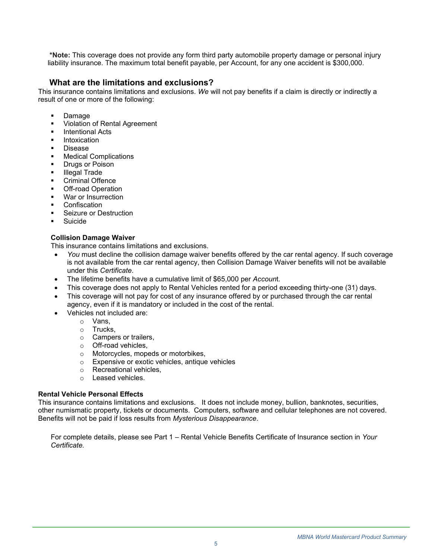**\*Note:** This coverage does not provide any form third party automobile property damage or personal injury liability insurance. The maximum total benefit payable, per Account, for any one accident is \$300,000.

### **What are the limitations and exclusions?**

This insurance contains limitations and exclusions. *We* will not pay benefits if a claim is directly or indirectly a result of one or more of the following:

- **Damage**
- Violation of Rental Agreement
- **Intentional Acts**
- Intoxication
- **Disease**
- **Medical Complications**
- **Drugs or Poison**
- **■** Illegal Trade
- Criminal Offence
- **Off-road Operation**
- War or Insurrection
- **Confiscation**
- Seizure or Destruction
- **Suicide**

#### **Collision Damage Waiver**

This insurance contains limitations and exclusions.

- *You* must decline the collision damage waiver benefits offered by the car rental agency. If such coverage is not available from the car rental agency, then Collision Damage Waiver benefits will not be available under this *Certificate*.
- The lifetime benefits have a cumulative limit of \$65,000 per *Accoun*t.
- This coverage does not apply to Rental Vehicles rented for a period exceeding thirty-one (31) days.
- This coverage will not pay for cost of any insurance offered by or purchased through the car rental agency, even if it is mandatory or included in the cost of the rental.
	- Vehicles not included are:
		- o Vans,
		- o Trucks,
		- o Campers or trailers,
		- o Off-road vehicles,
		- o Motorcycles, mopeds or motorbikes,
		- o Expensive or exotic vehicles, antique vehicles
		- o Recreational vehicles,
		- o Leased vehicles.

#### **Rental Vehicle Personal Effects**

This insurance contains limitations and exclusions. It does not include money, bullion, banknotes, securities, other numismatic property, tickets or documents. Computers, software and cellular telephones are not covered. Benefits will not be paid if loss results from *Mysterious Disappearance*.

For complete details, please see Part 1 – Rental Vehicle Benefits Certificate of Insurance section in *Your Certificate.*